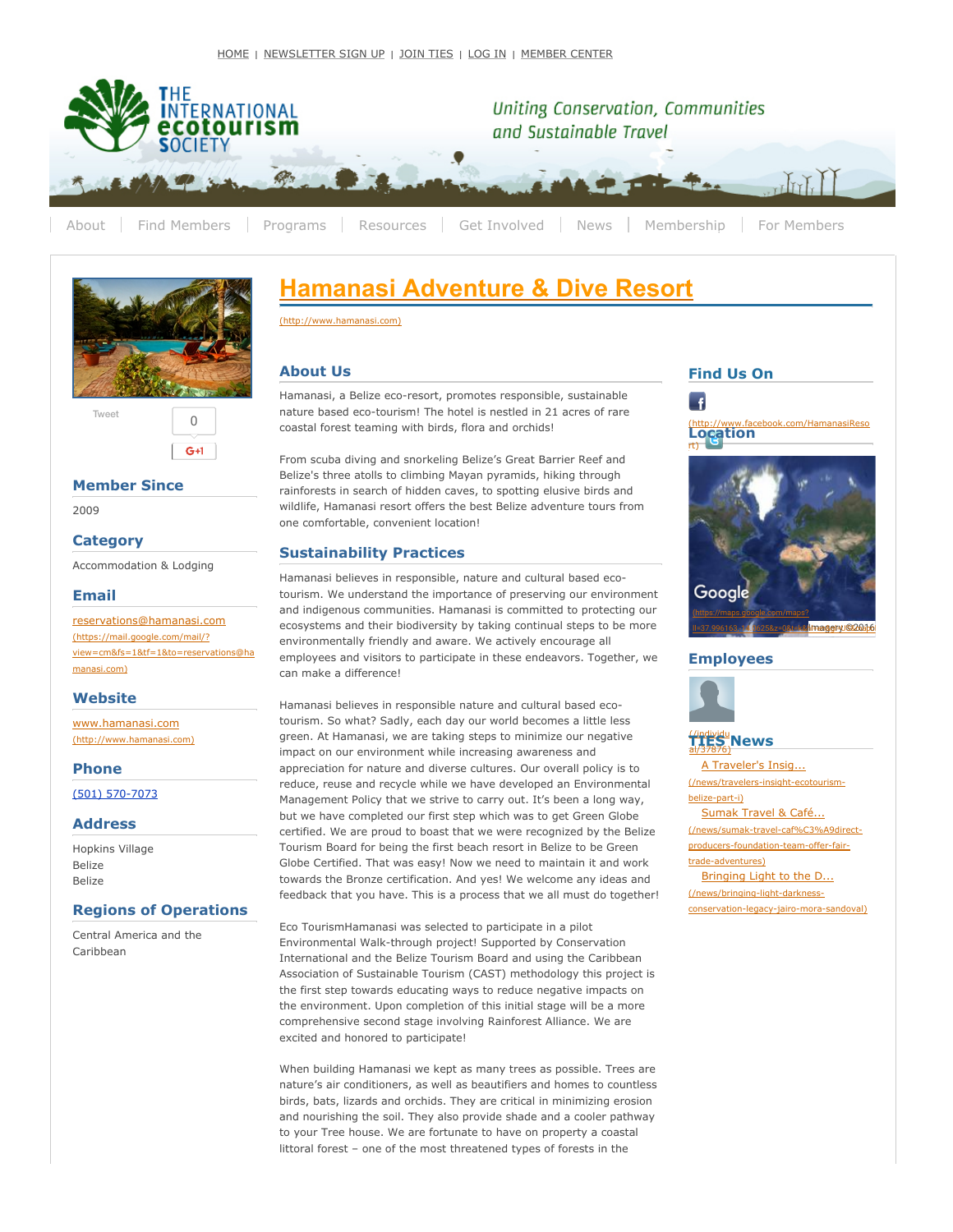

[About](http://www.ecotourism.org/ties-overview) Find [Members](http://www.ecotourism.org/member-center) [Programs](https://www.ecotourism.org/programs) [Resources](http://www.ecotourism.org/resources) Get [Involved](https://www.ecotourism.org/get-involved) [News](http://www.ecotourism.org/news-home) [Membership](https://www.ecotourism.org/membership) For Members



 $G+1$ 

[Tweet](https://twitter.com/intent/tweet?original_referer=https%3A%2F%2Fwww.ecotourism.org%2Fhamanasi-adventure-and-dive-resort&ref_src=twsrc%5Etfw&text=Hamanasi%20Adventure%20%26%20Dive%20Resort%20%7C%20The%20International%20Ecotourism%20Society&tw_p=tweetbutton&url=https%3A%2F%2Fwww.ecotourism.org%2Fhamanasi-adventure-and-dive-resort)  $\bigcap$ 

## **Member Since**

2009

## **Category**

Accommodation & Lodging

#### **Email**

[reservations@hamanasi.com](https://mail.google.com/mail/?view=cm&fs=1&tf=1&to=reservations@hamanasi.com) (https://mail.google.com/mail/? view=cm&fs=1&tf=1&to=reservations@ha manasi.com)

### **Website**

[www.hamanasi.com](http://www.hamanasi.com/) (http://www.hamanasi.com)

#### **Phone**

(501) 570-7073

#### **Address**

Hopkins Village Belize Belize

## **Regions of Operations**

Central America and the Caribbean

# **Hamanasi [Adventure](http://www.hamanasi.com/) & Dive Resort**

(http://www.hamanasi.com)

## **About Us**

Hamanasi, a Belize eco-resort, promotes responsible, sustainable nature based eco-tourism! The hotel is nestled in 21 acres of rare coastal forest teaming with birds, flora and orchids!

From scuba diving and snorkeling Belize's Great Barrier Reef and Belize's three atolls to climbing Mayan pyramids, hiking through rainforests in search of hidden caves, to spotting elusive birds and wildlife, Hamanasi resort offers the best Belize adventure tours from one comfortable, convenient location!

## **Sustainability Practices**

Hamanasi believes in responsible, nature and cultural based ecotourism. We understand the importance of preserving our environment and indigenous communities. Hamanasi is committed to protecting our ecosystems and their biodiversity by taking continual steps to be more environmentally friendly and aware. We actively encourage all employees and visitors to participate in these endeavors. Together, we can make a difference!

Hamanasi believes in responsible nature and cultural based ecotourism. So what? Sadly, each day our world becomes a little less green. At Hamanasi, we are taking steps to minimize our negative impact on our environment while increasing awareness and appreciation for nature and diverse cultures. Our overall policy is to reduce, reuse and recycle while we have developed an Environmental Management Policy that we strive to carry out. It's been a long way, but we have completed our first step which was to get Green Globe certified. We are proud to boast that we were recognized by the Belize Tourism Board for being the first beach resort in Belize to be Green Globe Certified. That was easy! Now we need to maintain it and work towards the Bronze certification. And yes! We welcome any ideas and feedback that you have. This is a process that we all must do together!

Eco TourismHamanasi was selected to participate in a pilot Environmental Walk-through project! Supported by Conservation International and the Belize Tourism Board and using the Caribbean Association of Sustainable Tourism (CAST) methodology this project is the first step towards educating ways to reduce negative impacts on the environment. Upon completion of this initial stage will be a more comprehensive second stage involving Rainforest Alliance. We are excited and honored to participate!

When building Hamanasi we kept as many trees as possible. Trees are nature's air conditioners, as well as beautifiers and homes to countless birds, bats, lizards and orchids. They are critical in minimizing erosion and nourishing the soil. They also provide shade and a cooler pathway to your Tree house. We are fortunate to have on property a coastal littoral forest – one of the most threatened types of forests in the

## **F**

**Find Us On**





## **Employees**



## (/individu al/37876) **[TIES](https://www.ecotourism.org/individual/37876) News**

A Traveler's Insig... (/news/travelers-insight-ecotourismbelize-part-i) Sumak Travel & Café... (/news/sumak-travel-caf%C3%A9directproducers-foundation-team-offer-fairtrade-adventures) Bringing Light to the D...

(/news/bringing-light-darknessconservation-legacy-jairo-mora-sandoval)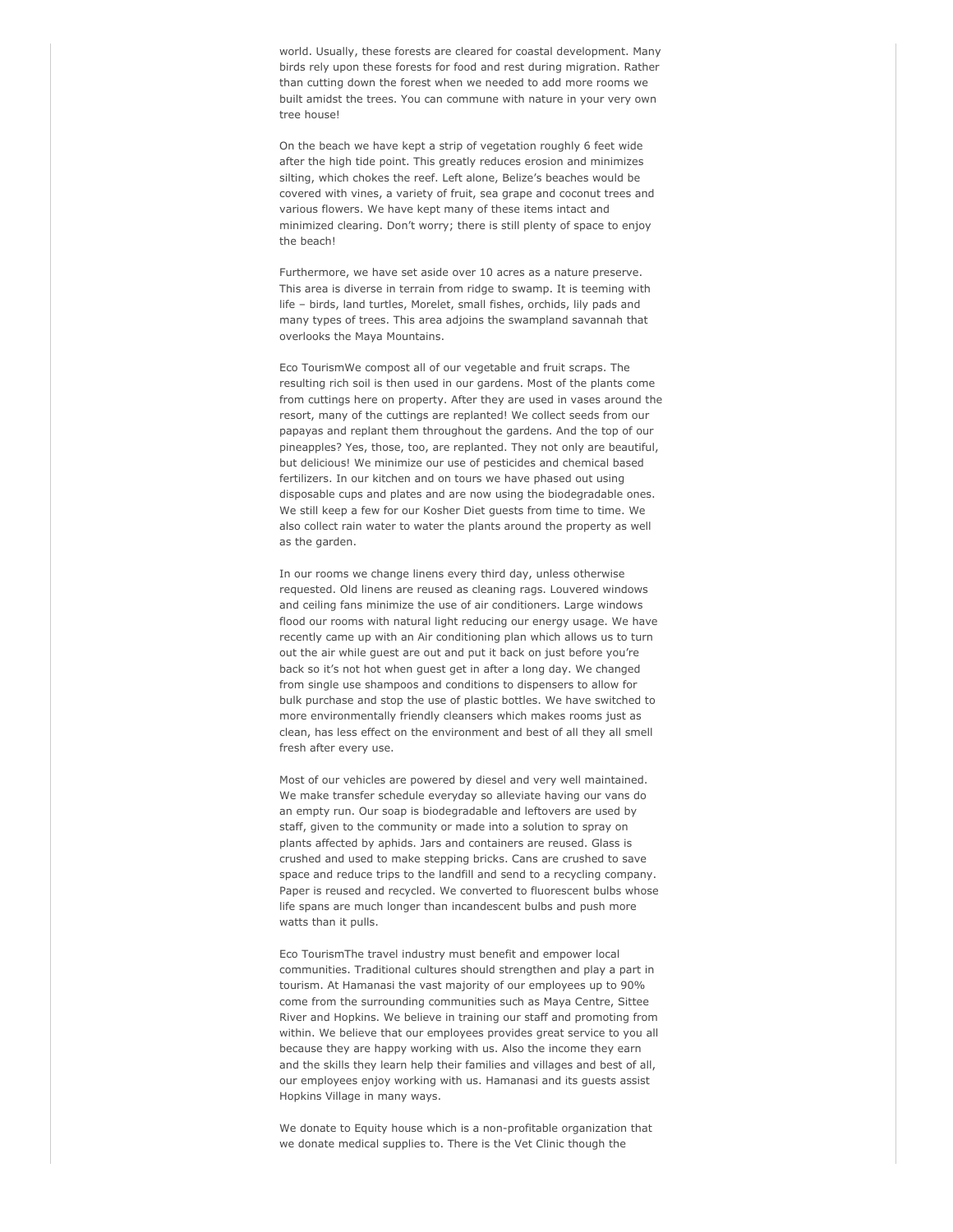world. Usually, these forests are cleared for coastal development. Many birds rely upon these forests for food and rest during migration. Rather than cutting down the forest when we needed to add more rooms we built amidst the trees. You can commune with nature in your very own tree house!

On the beach we have kept a strip of vegetation roughly 6 feet wide after the high tide point. This greatly reduces erosion and minimizes silting, which chokes the reef. Left alone, Belize's beaches would be covered with vines, a variety of fruit, sea grape and coconut trees and various flowers. We have kept many of these items intact and minimized clearing. Don't worry; there is still plenty of space to enjoy the beach!

Furthermore, we have set aside over 10 acres as a nature preserve. This area is diverse in terrain from ridge to swamp. It is teeming with life – birds, land turtles, Morelet, small fishes, orchids, lily pads and many types of trees. This area adjoins the swampland savannah that overlooks the Maya Mountains.

Eco TourismWe compost all of our vegetable and fruit scraps. The resulting rich soil is then used in our gardens. Most of the plants come from cuttings here on property. After they are used in vases around the resort, many of the cuttings are replanted! We collect seeds from our papayas and replant them throughout the gardens. And the top of our pineapples? Yes, those, too, are replanted. They not only are beautiful, but delicious! We minimize our use of pesticides and chemical based fertilizers. In our kitchen and on tours we have phased out using disposable cups and plates and are now using the biodegradable ones. We still keep a few for our Kosher Diet guests from time to time. We also collect rain water to water the plants around the property as well as the garden.

In our rooms we change linens every third day, unless otherwise requested. Old linens are reused as cleaning rags. Louvered windows and ceiling fans minimize the use of air conditioners. Large windows flood our rooms with natural light reducing our energy usage. We have recently came up with an Air conditioning plan which allows us to turn out the air while guest are out and put it back on just before you're back so it's not hot when guest get in after a long day. We changed from single use shampoos and conditions to dispensers to allow for bulk purchase and stop the use of plastic bottles. We have switched to more environmentally friendly cleansers which makes rooms just as clean, has less effect on the environment and best of all they all smell fresh after every use.

Most of our vehicles are powered by diesel and very well maintained. We make transfer schedule everyday so alleviate having our vans do an empty run. Our soap is biodegradable and leftovers are used by staff, given to the community or made into a solution to spray on plants affected by aphids. Jars and containers are reused. Glass is crushed and used to make stepping bricks. Cans are crushed to save space and reduce trips to the landfill and send to a recycling company. Paper is reused and recycled. We converted to fluorescent bulbs whose life spans are much longer than incandescent bulbs and push more watts than it pulls.

Eco TourismThe travel industry must benefit and empower local communities. Traditional cultures should strengthen and play a part in tourism. At Hamanasi the vast majority of our employees up to 90% come from the surrounding communities such as Maya Centre, Sittee River and Hopkins. We believe in training our staff and promoting from within. We believe that our employees provides great service to you all because they are happy working with us. Also the income they earn and the skills they learn help their families and villages and best of all, our employees enjoy working with us. Hamanasi and its guests assist Hopkins Village in many ways.

We donate to Equity house which is a non-profitable organization that we donate medical supplies to. There is the Vet Clinic though the